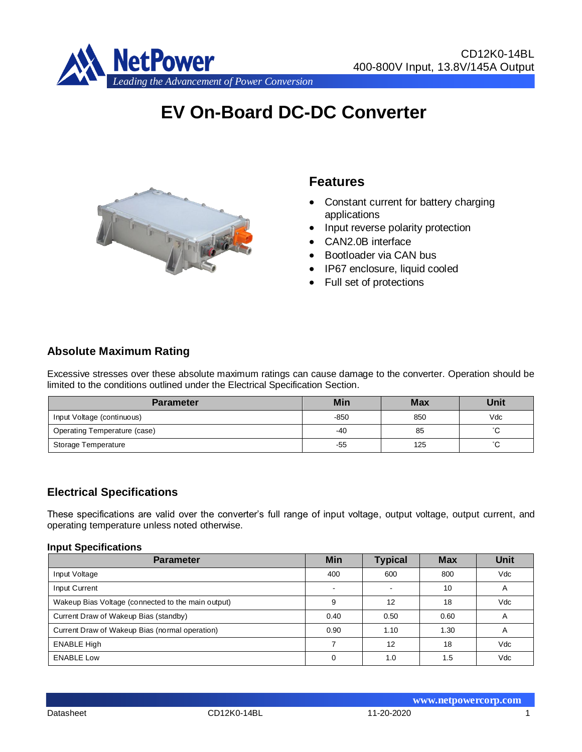

# **EV On-Board DC-DC Converter**



# **Features**

- Constant current for battery charging applications
- Input reverse polarity protection
- CAN2.0B interface
- Bootloader via CAN bus
- IP67 enclosure, liquid cooled
- Full set of protections

## **Absolute Maximum Rating**

Excessive stresses over these absolute maximum ratings can cause damage to the converter. Operation should be limited to the conditions outlined under the Electrical Specification Section.

| <b>Parameter</b>             | <b>Min</b> | <b>Max</b> | Unit   |
|------------------------------|------------|------------|--------|
| Input Voltage (continuous)   | -850       | 850        | Vdc    |
| Operating Temperature (case) | -40        | 85         | $\sim$ |
| Storage Temperature          | -55        | 125        |        |

#### **Electrical Specifications**

These specifications are valid over the converter's full range of input voltage, output voltage, output current, and operating temperature unless noted otherwise.

#### **Input Specifications**

| <b>Parameter</b>                                   | <b>Min</b> | <b>Typical</b>           | <b>Max</b> | Unit |
|----------------------------------------------------|------------|--------------------------|------------|------|
| Input Voltage                                      | 400        | 600                      | 800        | Vdc  |
| Input Current                                      | $\sim$     | $\overline{\phantom{a}}$ | 10         | A    |
| Wakeup Bias Voltage (connected to the main output) | 9          | 12                       | 18         | Vdc  |
| Current Draw of Wakeup Bias (standby)              | 0.40       | 0.50                     | 0.60       | A    |
| Current Draw of Wakeup Bias (normal operation)     | 0.90       | 1.10                     | 1.30       | A    |
| <b>ENABLE High</b>                                 |            | 12                       | 18         | Vdc  |
| <b>ENABLE Low</b>                                  |            | 1.0                      | 1.5        | Vdc  |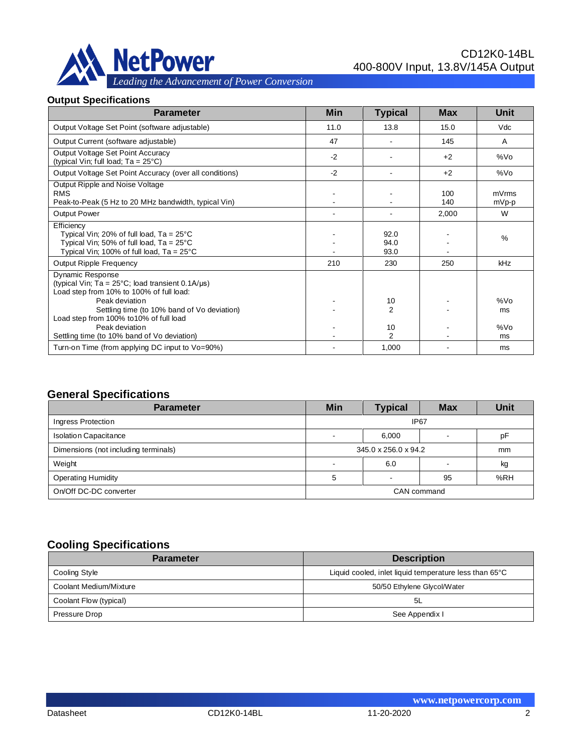

#### **Output Specifications**

| <b>Parameter</b>                                                                                                                                                           | <b>Min</b> | <b>Typical</b>       | <b>Max</b> | <b>Unit</b>     |
|----------------------------------------------------------------------------------------------------------------------------------------------------------------------------|------------|----------------------|------------|-----------------|
| Output Voltage Set Point (software adjustable)                                                                                                                             | 11.0       | 13.8                 | 15.0       | Vdc             |
| Output Current (software adjustable)                                                                                                                                       | 47         |                      | 145        | A               |
| Output Voltage Set Point Accuracy<br>(typical Vin; full load; Ta = 25°C)                                                                                                   | $-2$       |                      | $+2$       | %Vo             |
| Output Voltage Set Point Accuracy (over all conditions)                                                                                                                    | $-2$       |                      | $+2$       | %V <sub>O</sub> |
| Output Ripple and Noise Voltage<br><b>RMS</b><br>Peak-to-Peak (5 Hz to 20 MHz bandwidth, typical Vin)                                                                      |            |                      | 100<br>140 | mVrms<br>mVp-p  |
| Output Power                                                                                                                                                               |            |                      | 2,000      | W               |
| Efficiency<br>Typical Vin; 20% of full load, $Ta = 25^{\circ}C$<br>Typical Vin; 50% of full load, $Ta = 25^{\circ}C$<br>Typical Vin; 100% of full load, $Ta = 25^{\circ}C$ |            | 92.0<br>94.0<br>93.0 |            | $\%$            |
| Output Ripple Frequency                                                                                                                                                    | 210        | 230                  | 250        | <b>kHz</b>      |
| Dynamic Response<br>(typical Vin; Ta = $25^{\circ}$ C; load transient 0.1A/ $\mu$ s)<br>Load step from 10% to 100% of full load:                                           |            |                      |            |                 |
| Peak deviation                                                                                                                                                             |            | 10                   |            | %V <sub>O</sub> |
| Settling time (to 10% band of Vo deviation)<br>Load step from 100% to 10% of full load                                                                                     |            | 2                    |            | ms              |
| Peak deviation                                                                                                                                                             |            | 10                   |            | %V <sub>O</sub> |
| Settling time (to 10% band of Vo deviation)                                                                                                                                |            | $\mathcal{P}$        |            | ms              |
| Turn-on Time (from applying DC input to Vo=90%)                                                                                                                            |            | 1,000                |            | ms              |

# **General Specifications**

| <b>Parameter</b>                     | <b>Min</b>           | <b>Typical</b> | <b>Max</b>  | Unit |
|--------------------------------------|----------------------|----------------|-------------|------|
| Ingress Protection                   |                      |                | <b>IP67</b> |      |
| <b>Isolation Capacitance</b>         |                      | 6.000          |             | рF   |
| Dimensions (not including terminals) | 345.0 x 256.0 x 94.2 |                |             | mm   |
| Weight                               |                      | 6.0            | -           | kg   |
| <b>Operating Humidity</b>            | %RH<br>5<br>95       |                |             |      |
| On/Off DC-DC converter               | CAN command          |                |             |      |

# **Cooling Specifications**

| <b>Parameter</b>       | <b>Description</b>                                     |
|------------------------|--------------------------------------------------------|
| Cooling Style          | Liquid cooled, inlet liquid temperature less than 65°C |
| Coolant Medium/Mixture | 50/50 Ethylene Glycol/Water                            |
| Coolant Flow (typical) | 5L                                                     |
| Pressure Drop          | See Appendix I                                         |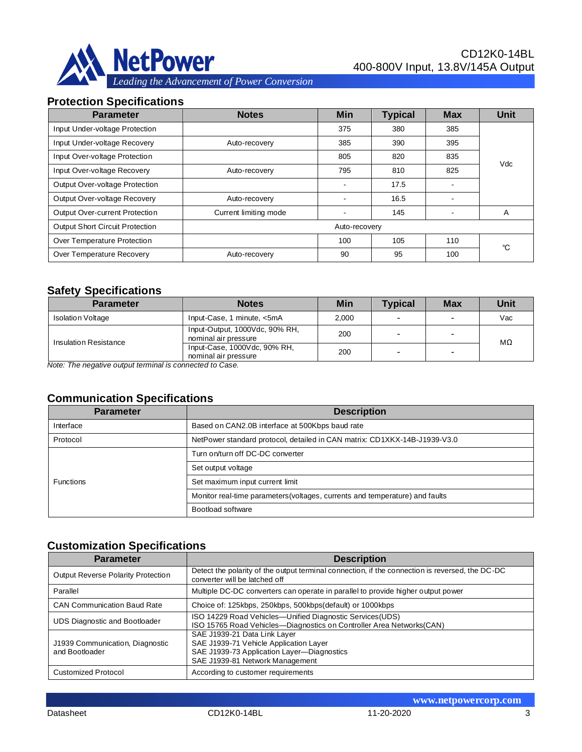

#### **Protection Specifications**

| <b>Parameter</b>                              | <b>Notes</b>          | <b>Min</b> | <b>Typical</b> | <b>Max</b>     | <b>Unit</b> |
|-----------------------------------------------|-----------------------|------------|----------------|----------------|-------------|
| Input Under-voltage Protection                |                       | 375        | 380            | 385            |             |
| Input Under-voltage Recovery                  | Auto-recovery         | 385        | 390            | 395            |             |
| Input Over-voltage Protection                 |                       | 805        | 820            | 835            |             |
| Input Over-voltage Recovery                   | Auto-recovery         | 795        | 810            | 825            | Vdc         |
| Output Over-voltage Protection                |                       |            | 17.5           | $\blacksquare$ |             |
| Output Over-voltage Recovery<br>Auto-recovery |                       |            | 16.5           | $\blacksquare$ |             |
| Output Over-current Protection                | Current limiting mode |            | 145            | $\blacksquare$ | A           |
| Output Short Circuit Protection               | Auto-recovery         |            |                |                |             |
| Over Temperature Protection                   |                       | 100        | 105            | 110            | °C          |
| Over Temperature Recovery<br>Auto-recovery    |                       | 90         | 95             | 100            |             |

## **Safety Specifications**

| <b>Parameter</b>                                        | <b>Notes</b>                                           | Min   | <b>Typical</b> | <b>Max</b>               | Unit |  |
|---------------------------------------------------------|--------------------------------------------------------|-------|----------------|--------------------------|------|--|
| <b>Isolation Voltage</b>                                | Input-Case, 1 minute, <5mA                             | 2.000 |                | $\overline{\phantom{0}}$ | Vac  |  |
| Insulation Resistance                                   | Input-Output, 1000Vdc, 90% RH,<br>nominal air pressure | 200   |                | $\overline{\phantom{a}}$ | MΩ   |  |
|                                                         | Input-Case, 1000Vdc, 90% RH,<br>nominal air pressure   | 200   |                |                          |      |  |
| Note: The negative output terminal is connected to Case |                                                        |       |                |                          |      |  |

*Note: The negative output terminal is connected to Case.*

#### **Communication Specifications**

| <b>Parameter</b>                                                                      | <b>Description</b>                                                           |
|---------------------------------------------------------------------------------------|------------------------------------------------------------------------------|
| Interface                                                                             | Based on CAN2.0B interface at 500Kbps baud rate                              |
| NetPower standard protocol, detailed in CAN matrix: CD1XKX-14B-J1939-V3.0<br>Protocol |                                                                              |
|                                                                                       | Turn on/turn off DC-DC converter                                             |
|                                                                                       | Set output voltage                                                           |
| <b>Functions</b>                                                                      | Set maximum input current limit                                              |
|                                                                                       | Monitor real-time parameters (voltages, currents and temperature) and faults |
|                                                                                       | Bootload software                                                            |

## **Customization Specifications**

| <b>Parameter</b>                                  | <b>Description</b>                                                                                                                                      |
|---------------------------------------------------|---------------------------------------------------------------------------------------------------------------------------------------------------------|
| Output Reverse Polarity Protection                | Detect the polarity of the output terminal connection, if the connection is reversed, the DC-DC<br>converter will be latched off                        |
| Parallel                                          | Multiple DC-DC converters can operate in parallel to provide higher output power                                                                        |
| <b>CAN Communication Baud Rate</b>                | Choice of: 125kbps, 250kbps, 500kbps(default) or 1000kbps                                                                                               |
| <b>UDS Diagnostic and Bootloader</b>              | ISO 14229 Road Vehicles—Unified Diagnostic Services (UDS)<br>ISO 15765 Road Vehicles-Diagnostics on Controller Area Networks(CAN)                       |
| J1939 Communication, Diagnostic<br>and Bootloader | SAE J1939-21 Data Link Layer<br>SAE J1939-71 Vehicle Application Layer<br>SAE J1939-73 Application Layer-Diagnostics<br>SAE J1939-81 Network Management |
| <b>Customized Protocol</b>                        | According to customer requirements                                                                                                                      |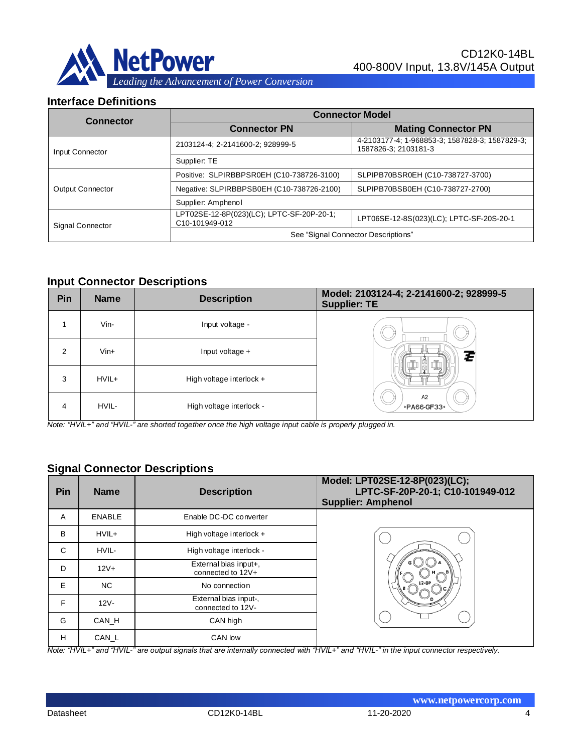

#### **Interface Definitions**

| <b>Connector</b>        | <b>Connector Model</b>                                      |                                                                        |  |
|-------------------------|-------------------------------------------------------------|------------------------------------------------------------------------|--|
|                         | <b>Connector PN</b>                                         | <b>Mating Connector PN</b>                                             |  |
| Input Connector         | 2103124-4; 2-2141600-2; 928999-5                            | 4-2103177-4; 1-968853-3; 1587828-3; 1587829-3;<br>1587826-3; 2103181-3 |  |
|                         | Supplier: TE                                                |                                                                        |  |
|                         | Positive: SLPIRBBPSR0EH (C10-738726-3100)                   | SLPIPB70BSR0EH (C10-738727-3700)                                       |  |
| Output Connector        | Negative: SLPIRBBPSB0EH (C10-738726-2100)                   | SLPIPB70BSB0EH (C10-738727-2700)                                       |  |
|                         | Supplier: Amphenol                                          |                                                                        |  |
| <b>Signal Connector</b> | LPT02SE-12-8P(023)(LC); LPTC-SF-20P-20-1;<br>C10-101949-012 | LPT06SE-12-8S(023)(LC); LPTC-SF-20S-20-1                               |  |
|                         | See "Signal Connector Descriptions"                         |                                                                        |  |

#### **Input Connector Descriptions**

| Pin | <b>Name</b> | <b>Description</b>         | Model: 2103124-4; 2-2141600-2; 928999-5<br><b>Supplier: TE</b> |
|-----|-------------|----------------------------|----------------------------------------------------------------|
|     | Vin-        | Input voltage -            |                                                                |
| 2   | $V$ in+     | Input voltage $+$          | Z                                                              |
| 3   | HVIL+       | High voltage interlock $+$ |                                                                |
| 4   | HVIL-       | High voltage interlock -   | A2<br>>PA66-GF33<                                              |

*Note: "HVIL+" and "HVIL-" are shorted together once the high voltage input cable is properly plugged in.*

## **Signal Connector Descriptions**

| Pin | <b>Name</b>   | <b>Description</b>                         | Model: LPT02SE-12-8P(023)(LC);<br>LPTC-SF-20P-20-1; C10-101949-012<br><b>Supplier: Amphenol</b> |
|-----|---------------|--------------------------------------------|-------------------------------------------------------------------------------------------------|
| A   | <b>ENABLE</b> | Enable DC-DC converter                     |                                                                                                 |
| B   | HVIL+         | High voltage interlock $+$                 |                                                                                                 |
| C   | HVIL-         | High voltage interlock -                   |                                                                                                 |
| D   | $12V +$       | External bias input+,<br>connected to 12V+ |                                                                                                 |
| E   | NC.           | No connection                              |                                                                                                 |
| F   | $12V -$       | External bias input-,<br>connected to 12V- |                                                                                                 |
| G   | CAN H         | CAN high                                   |                                                                                                 |
| н   | CAN_L         | CAN low                                    |                                                                                                 |

*Note: "HVIL+" and "HVIL-" are output signals that are internally connected with "HVIL+" and "HVIL-" in the input connector respectively.*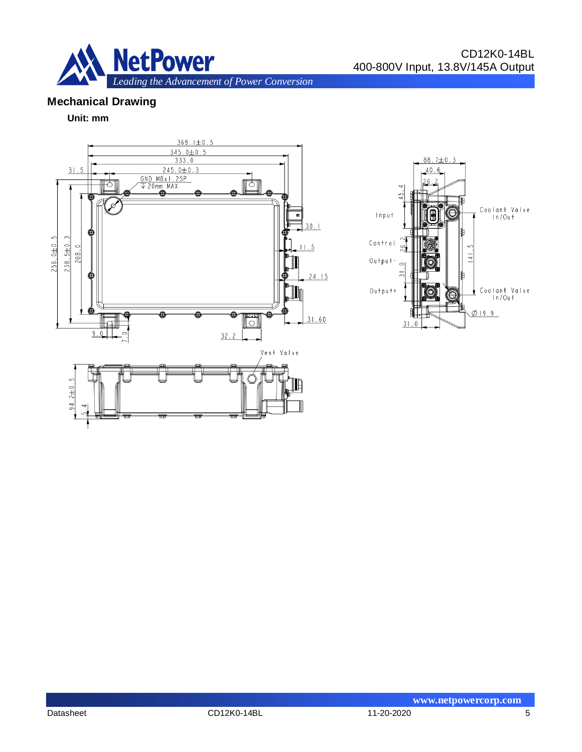

# **Mechanical Drawing**

#### **Unit: mm**